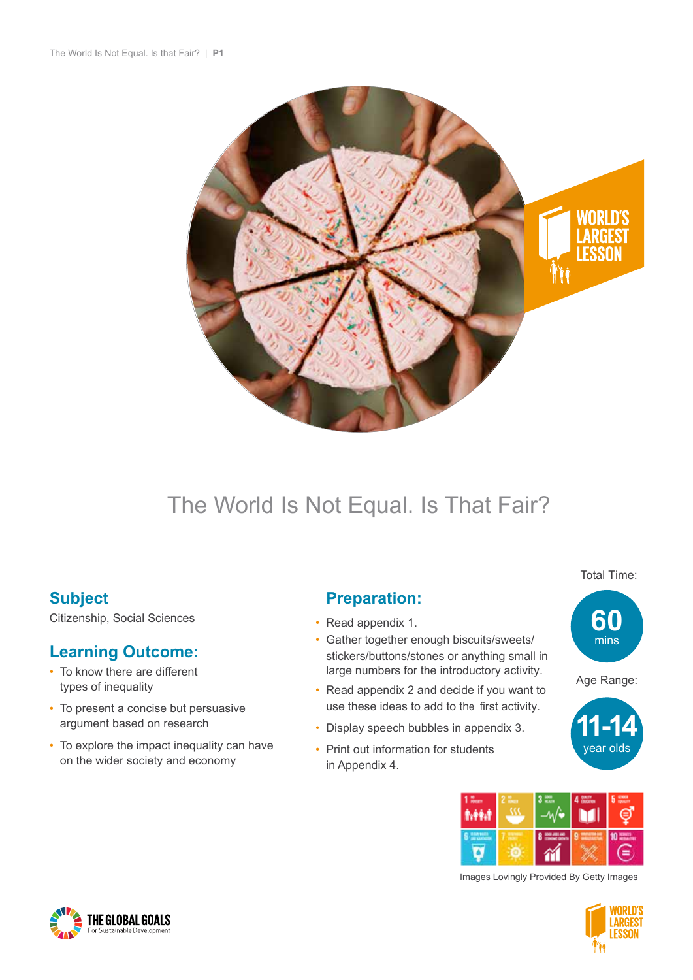

# The World Is Not Equal. Is That Fair?

## **Subject**

Citizenship, Social Sciences

## **Learning Outcome:**

- To know there are different types of inequality
- To present a concise but persuasive argument based on research
- To explore the impact inequality can have on the wider society and economy

## **Preparation:**

- Read appendix 1.
- Gather together enough biscuits/sweets/ stickers/buttons/stones or anything small in large numbers for the introductory activity.
- Read appendix 2 and decide if you want to use these ideas to add to the first activity.
- Display speech bubbles in appendix 3.
- Print out information for students in Appendix 4.

Total Time:



Age Range:





Images Lovingly Provided By Getty Images



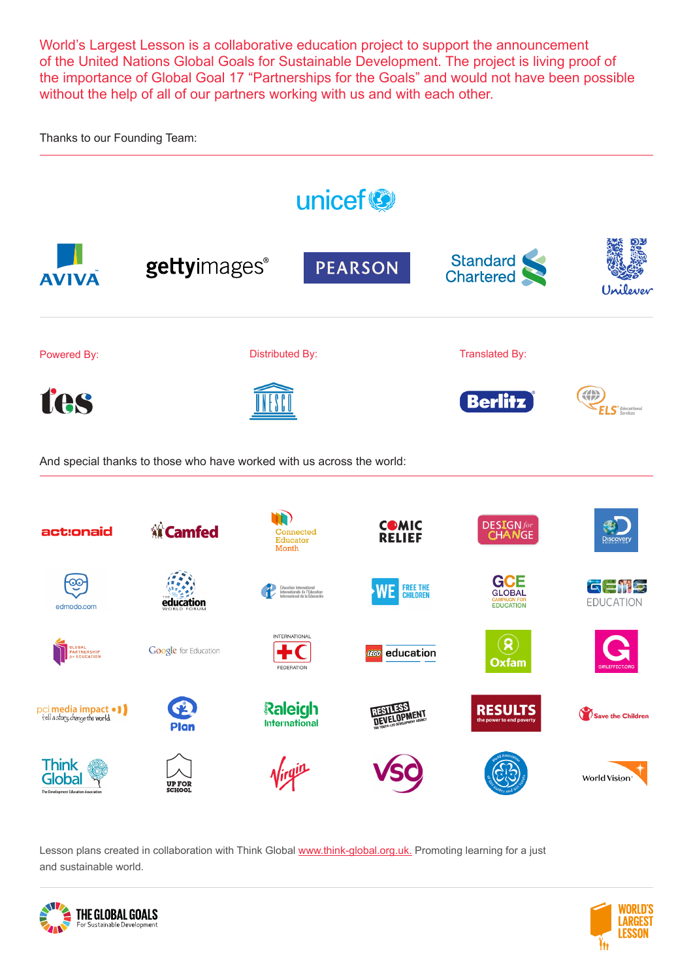World's Largest Lesson is a collaborative education project to support the announcement of the United Nations Global Goals for Sustainable Development. The project is living proof of the importance of Global Goal 17 "Partnerships for the Goals" and would not have been possible without the help of all of our partners working with us and with each other.

Thanks to our Founding Team:



Lesson plans created in collaboration with Think Global www.think-global.org.uk. Promoting learning for a just and sustainable world.



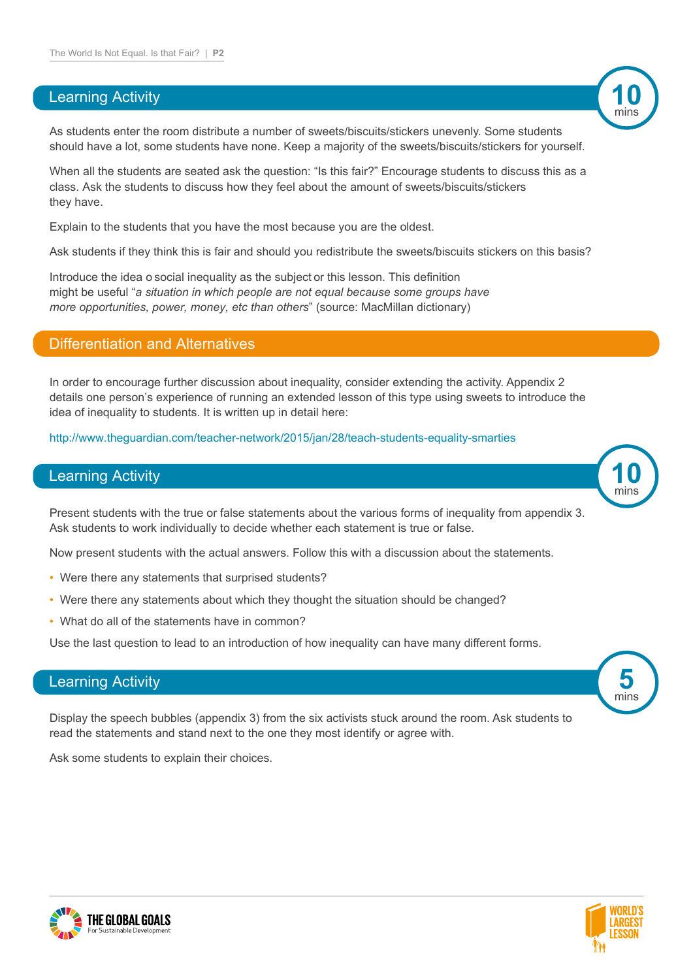### Learning Activity

As students enter the room distribute a number of sweets/biscuits/stickers unevenly. Some students should have a lot, some students have none. Keep a majority of the sweets/biscuits/stickers for yourself.

When all the students are seated ask the question: "Is this fair?" Encourage students to discuss this as a class. Ask the students to discuss how they feel about the amount of sweets/biscuits/stickers they have.

Explain to the students that you have the most because you are the oldest.

Ask students if they think this is fair and should you redistribute the sweets/biscuits stickers on this basis?

Introduce the idea o social inequality as the subject or this lesson. This definition might be useful "*a situation in which people are not equal because some groups have more opportunities, power, money, etc than others*" (source: MacMillan dictionary)

### Differentiation and Alternatives

In order to encourage further discussion about inequality, consider extending the activity. Appendix 2 details one person's experience of running an extended lesson of this type using sweets to introduce the idea of inequality to students. It is written up in detail here:

http://www.theguardian.com/teacher-network/2015/jan/28/teach-students-equality-smarties

#### Learning Activity

Present students with the true or false statements about the various forms of inequality from appendix 3. Ask students to work individually to decide whether each statement is true or false.

Now present students with the actual answers. Follow this with a discussion about the statements.

- Were there any statements that surprised students?
- Were there any statements about which they thought the situation should be changed?
- What do all of the statements have in common?

Use the last question to lead to an introduction of how inequality can have many different forms.

#### Learning Activity

Display the speech bubbles (appendix 3) from the six activists stuck around the room. Ask students to read the statements and stand next to the one they most identify or agree with.

Ask some students to explain their choices.









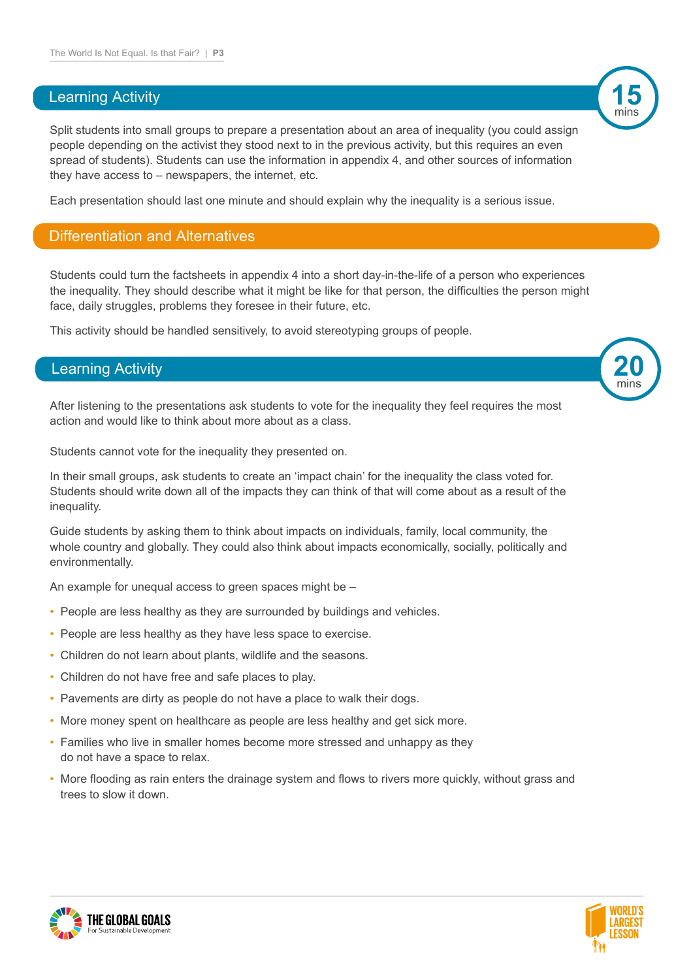### Learning Activity

Split students into small groups to prepare a presentation about an area of inequality (you could assign people depending on the activist they stood next to in the previous activity, but this requires an even spread of students). Students can use the information in appendix 4, and other sources of information they have access to – newspapers, the internet, etc.

Each presentation should last one minute and should explain why the inequality is a serious issue.

### Differentiation and Alternatives

Students could turn the factsheets in appendix 4 into a short day-in-the-life of a person who experiences the inequality. They should describe what it might be like for that person, the difficulties the person might face, daily struggles, problems they foresee in their future, etc.

This activity should be handled sensitively, to avoid stereotyping groups of people.

#### Learning Activity

After listening to the presentations ask students to vote for the inequality they feel requires the most action and would like to think about more about as a class.

Students cannot vote for the inequality they presented on.

In their small groups, ask students to create an 'impact chain' for the inequality the class voted for. Students should write down all of the impacts they can think of that will come about as a result of the inequality.

Guide students by asking them to think about impacts on individuals, family, local community, the whole country and globally. They could also think about impacts economically, socially, politically and environmentally.

An example for unequal access to green spaces might be –

- People are less healthy as they are surrounded by buildings and vehicles.
- People are less healthy as they have less space to exercise.
- Children do not learn about plants, wildlife and the seasons.
- Children do not have free and safe places to play.
- Pavements are dirty as people do not have a place to walk their dogs.
- More money spent on healthcare as people are less healthy and get sick more.
- Families who live in smaller homes become more stressed and unhappy as they do not have a space to relax.
- More flooding as rain enters the drainage system and flows to rivers more quickly, without grass and trees to slow it down.







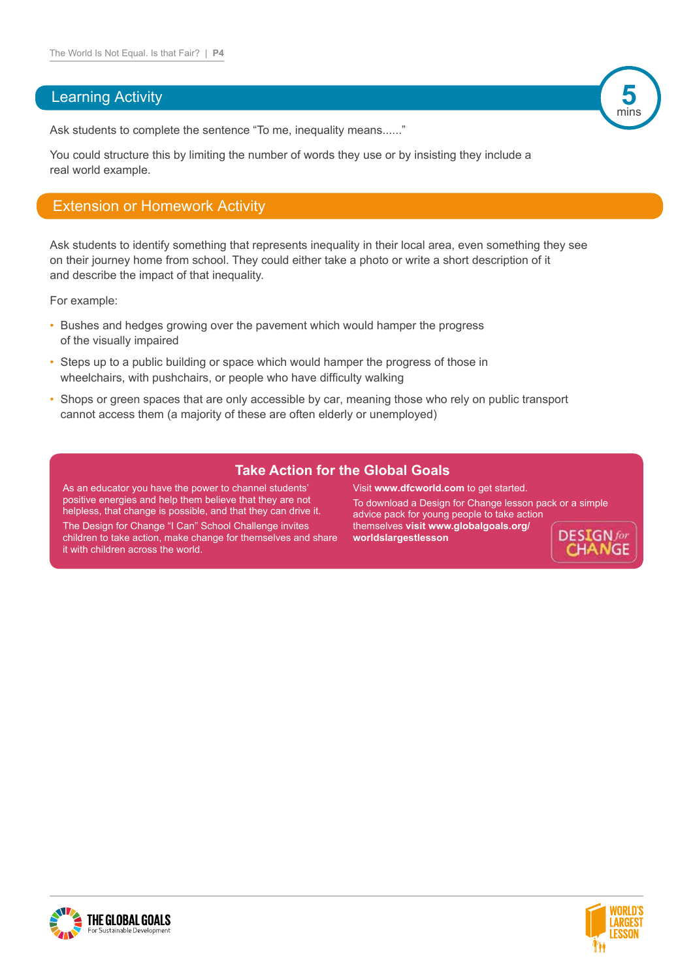### Learning Activity

Ask students to complete the sentence "To me, inequality means......"

You could structure this by limiting the number of words they use or by insisting they include a real world example.

### Extension or Homework Activity

Ask students to identify something that represents inequality in their local area, even something they see on their journey home from school. They could either take a photo or write a short description of it and describe the impact of that inequality.

For example:

- Bushes and hedges growing over the pavement which would hamper the progress of the visually impaired
- Steps up to a public building or space which would hamper the progress of those in wheelchairs, with pushchairs, or people who have difficulty walking
- Shops or green spaces that are only accessible by car, meaning those who rely on public transport cannot access them (a majority of these are often elderly or unemployed)

### **Take Action for the Global Goals**

As an educator you have the power to channel students' positive energies and help them believe that they are not helpless, that change is possible, and that they can drive it. The Design for Change "I Can" School Challenge invites children to take action, make change for themselves and share it with children across the world.

Visit **www.dfcworld.com** to get started.

To download a Design for Change lesson pack or a simple advice pack for young people to take action themselves **visit www.globalgoals.org/ worldslargestlesson**









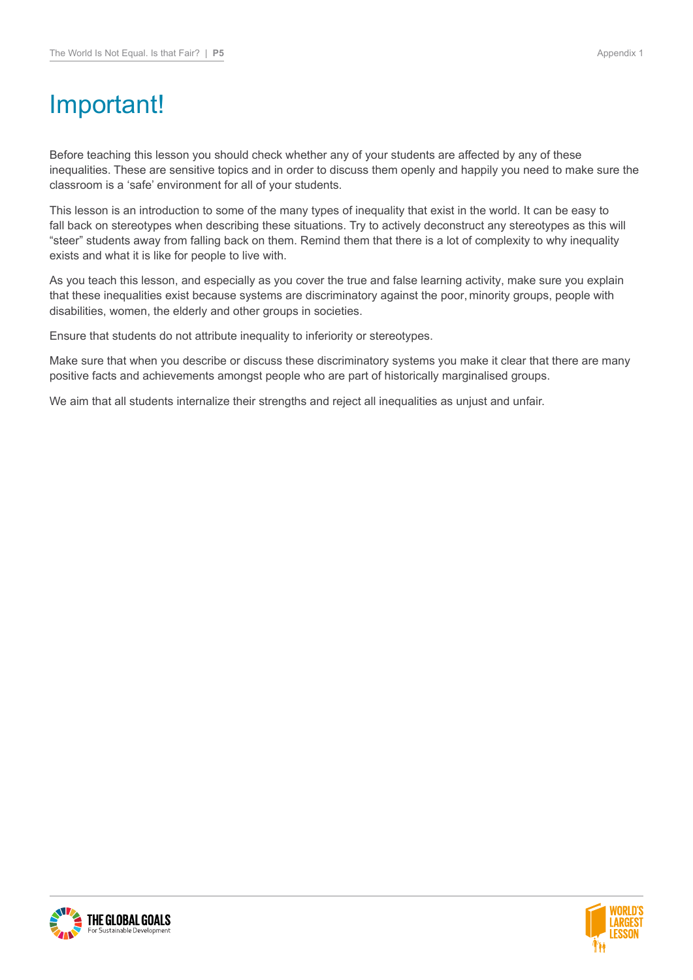# Important!

Before teaching this lesson you should check whether any of your students are affected by any of these inequalities. These are sensitive topics and in order to discuss them openly and happily you need to make sure the classroom is a 'safe' environment for all of your students.

This lesson is an introduction to some of the many types of inequality that exist in the world. It can be easy to fall back on stereotypes when describing these situations. Try to actively deconstruct any stereotypes as this will "steer" students away from falling back on them. Remind them that there is a lot of complexity to why inequality exists and what it is like for people to live with.

As you teach this lesson, and especially as you cover the true and false learning activity, make sure you explain that these inequalities exist because systems are discriminatory against the poor, minority groups, people with disabilities, women, the elderly and other groups in societies.

Ensure that students do not attribute inequality to inferiority or stereotypes.

Make sure that when you describe or discuss these discriminatory systems you make it clear that there are many positive facts and achievements amongst people who are part of historically marginalised groups.

We aim that all students internalize their strengths and reject all inequalities as unjust and unfair.



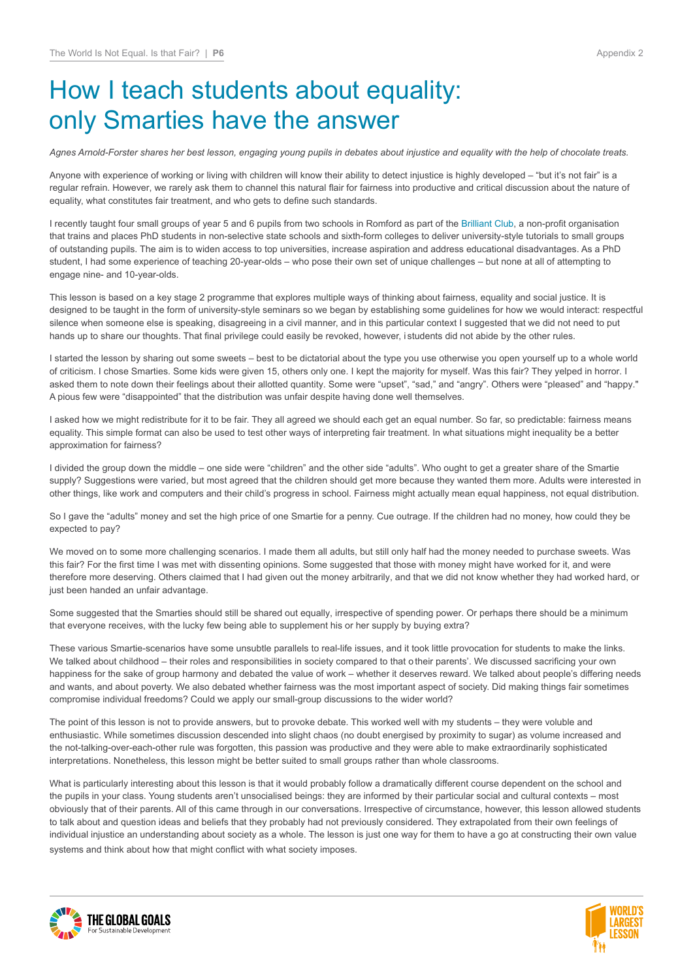# How I teach students about equality: only Smarties have the answer

*Agnes Arnold-Forster shares her best lesson, engaging young pupils in debates about injustice and equality with the help of chocolate treats.*

Anyone with experience of working or living with children will know their ability to detect injustice is highly developed – "but it's not fair" is a regular refrain. However, we rarely ask them to channel this natural flair for fairness into productive and critical discussion about the nature of equality, what constitutes fair treatment, and who gets to define such standards.

I recently taught four small groups of year 5 and 6 pupils from two schools in Romford as part of the [Brilliant Club](http://Brilliant Club), a non-profit organisation that trains and places PhD students in non-selective state schools and sixth-form colleges to deliver university-style tutorials to small groups of outstanding pupils. The aim is to widen access to top universities, increase aspiration and address educational disadvantages. As a PhD student, I had some experience of teaching 20-year-olds – who pose their own set of unique challenges – but none at all of attempting to engage nine- and 10-year-olds.

This lesson is based on a key stage 2 programme that explores multiple ways of thinking about fairness, equality and social justice. It is designed to be taught in the form of university-style seminars so we began by establishing some guidelines for how we would interact: respectful silence when someone else is speaking, disagreeing in a civil manner, and in this particular context I suggested that we did not need to put hands up to share our thoughts. That final privilege could easily be revoked, however, i students did not abide by the other rules.

I started the lesson by sharing out some sweets – best to be dictatorial about the type you use otherwise you open yourself up to a whole world of criticism. I chose Smarties. Some kids were given 15, others only one. I kept the majority for myself. Was this fair? They yelped in horror. I asked them to note down their feelings about their allotted quantity. Some were "upset", "sad," and "angry". Others were "pleased" and "happy." A pious few were "disappointed" that the distribution was unfair despite having done well themselves.

I asked how we might redistribute for it to be fair. They all agreed we should each get an equal number. So far, so predictable: fairness means equality. This simple format can also be used to test other ways of interpreting fair treatment. In what situations might inequality be a better approximation for fairness?

I divided the group down the middle – one side were "children" and the other side "adults". Who ought to get a greater share of the Smartie supply? Suggestions were varied, but most agreed that the children should get more because they wanted them more. Adults were interested in other things, like work and computers and their child's progress in school. Fairness might actually mean equal happiness, not equal distribution.

So I gave the "adults" money and set the high price of one Smartie for a penny. Cue outrage. If the children had no money, how could they be expected to pay?

We moved on to some more challenging scenarios. I made them all adults, but still only half had the money needed to purchase sweets. Was this fair? For the first time I was met with dissenting opinions. Some suggested that those with money might have worked for it, and were therefore more deserving. Others claimed that I had given out the money arbitrarily, and that we did not know whether they had worked hard, or just been handed an unfair advantage.

Some suggested that the Smarties should still be shared out equally, irrespective of spending power. Or perhaps there should be a minimum that everyone receives, with the lucky few being able to supplement his or her supply by buying extra?

These various Smartie-scenarios have some unsubtle parallels to real-life issues, and it took little provocation for students to make the links. We talked about childhood – their roles and responsibilities in society compared to that o their parents'. We discussed sacrificing your own happiness for the sake of group harmony and debated the value of work – whether it deserves reward. We talked about people's differing needs and wants, and about poverty. We also debated whether fairness was the most important aspect of society. Did making things fair sometimes compromise individual freedoms? Could we apply our small-group discussions to the wider world?

The point of this lesson is not to provide answers, but to provoke debate. This worked well with my students – they were voluble and enthusiastic. While sometimes discussion descended into slight chaos (no doubt energised by proximity to sugar) as volume increased and the not-talking-over-each-other rule was forgotten, this passion was productive and they were able to make extraordinarily sophisticated interpretations. Nonetheless, this lesson might be better suited to small groups rather than whole classrooms.

What is particularly interesting about this lesson is that it would probably follow a dramatically different course dependent on the school and the pupils in your class. Young students aren't unsocialised beings: they are informed by their particular social and cultural contexts – most obviously that of their parents. All of this came through in our conversations. Irrespective of circumstance, however, this lesson allowed students to talk about and question ideas and beliefs that they probably had not previously considered. They extrapolated from their own feelings of individual injustice an understanding about society as a whole. The lesson is just one way for them to have a go at constructing their own value systems and think about how that might conflict with what society imposes.



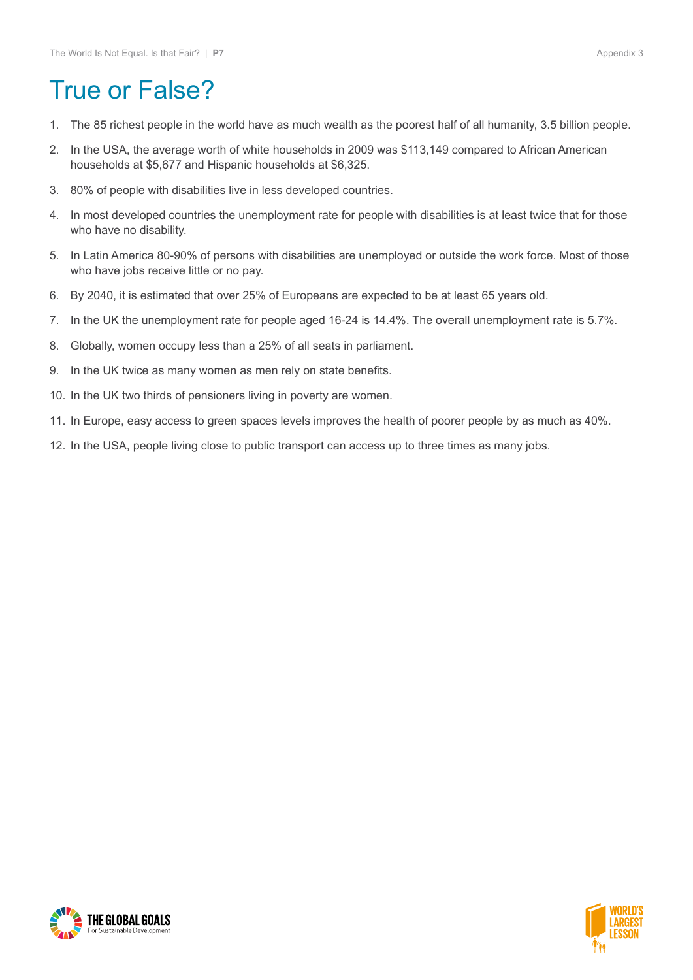# True or False?

- 1. The 85 richest people in the world have as much wealth as the poorest half of all humanity, 3.5 billion people.
- 2. In the USA, the average worth of white households in 2009 was \$113,149 compared to African American households at \$5,677 and Hispanic households at \$6,325.
- 3. 80% of people with disabilities live in less developed countries.
- 4. In most developed countries the unemployment rate for people with disabilities is at least twice that for those who have no disability.
- 5. In Latin America 80-90% of persons with disabilities are unemployed or outside the work force. Most of those who have jobs receive little or no pay.
- 6. By 2040, it is estimated that over 25% of Europeans are expected to be at least 65 years old.
- 7. In the UK the unemployment rate for people aged 16-24 is 14.4%. The overall unemployment rate is 5.7%.
- 8. Globally, women occupy less than a 25% of all seats in parliament.
- 9. In the UK twice as many women as men rely on state benefits.
- 10. In the UK two thirds of pensioners living in poverty are women.
- 11. In Europe, easy access to green spaces levels improves the health of poorer people by as much as 40%.
- 12. In the USA, people living close to public transport can access up to three times as many jobs.



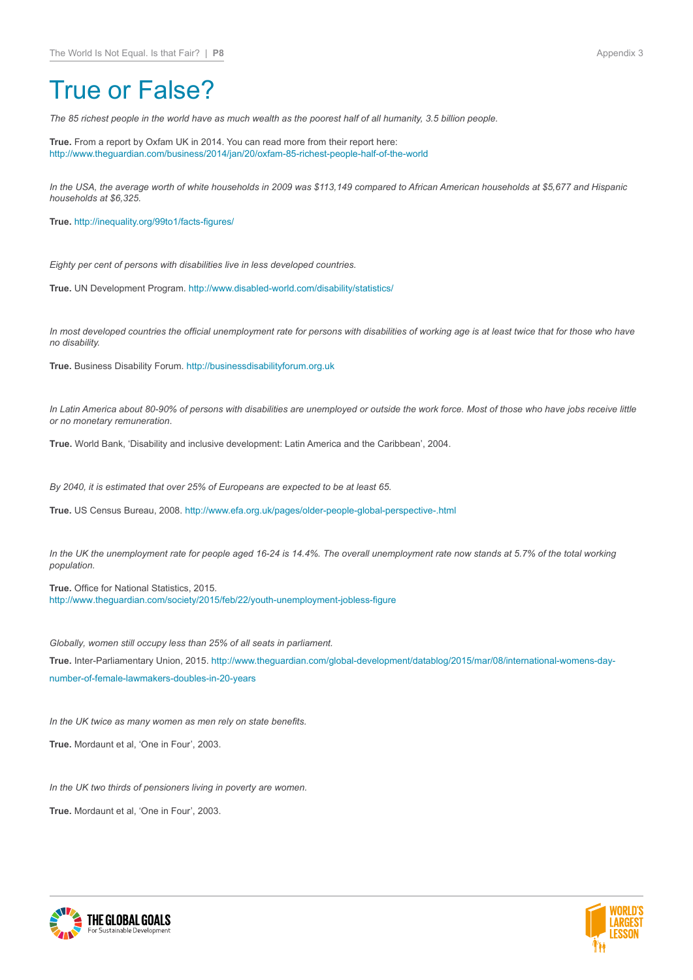# True or False?

*The 85 richest people in the world have as much wealth as the poorest half of all humanity, 3.5 billion people.*

**True.** From a report by Oxfam UK in 2014. You can read more from their report here: http://www.theguardian.com/business/2014/jan/20/oxfam-85-richest-people-half-of-the-world

*In the USA, the average worth of white households in 2009 was \$113,149 compared to African American households at \$5,677 and Hispanic households at \$6,325.* 

**True.** http://inequality.org/99to1/facts-figures/

*Eighty per cent of persons with disabilities live in less developed countries.* 

**True.** UN Development Program. http://www.disabled-world.com/disability/statistics/

In most developed countries the official unemployment rate for persons with disabilities of working age is at least twice that for those who have *no disability.*

**True.** Business Disability Forum. http://businessdisabilityforum.org.uk

*In Latin America about 80-90% of persons with disabilities are unemployed or outside the work force. Most of those who have jobs receive little or no monetary remuneration*.

**True.** World Bank, 'Disability and inclusive development: Latin America and the Caribbean', 2004.

*By 2040, it is estimated that over 25% of Europeans are expected to be at least 65.*

**True.** US Census Bureau, 2008. http://www.efa.org.uk/pages/older-people-global-perspective-.html

*In the UK the unemployment rate for people aged 16-24 is 14.4%. The overall unemployment rate now stands at 5.7% of the total working population.*

**True.** Office for National Statistics, 2015. http://www.theguardian.com/society/2015/feb/22/youth-unemployment-jobless-figure

*Globally, women still occupy less than 25% of all seats in parliament.*

**True.** Inter-Parliamentary Union, 2015. http://www.theguardian.com/global-development/datablog/2015/mar/08/international-womens-daynumber-of-female-lawmakers-doubles-in-20-years

*In the UK twice as many women as men rely on state benefits.* 

**True.** Mordaunt et al, 'One in Four', 2003.

*In the UK two thirds of pensioners living in poverty are women.*

**True.** Mordaunt et al, 'One in Four', 2003.



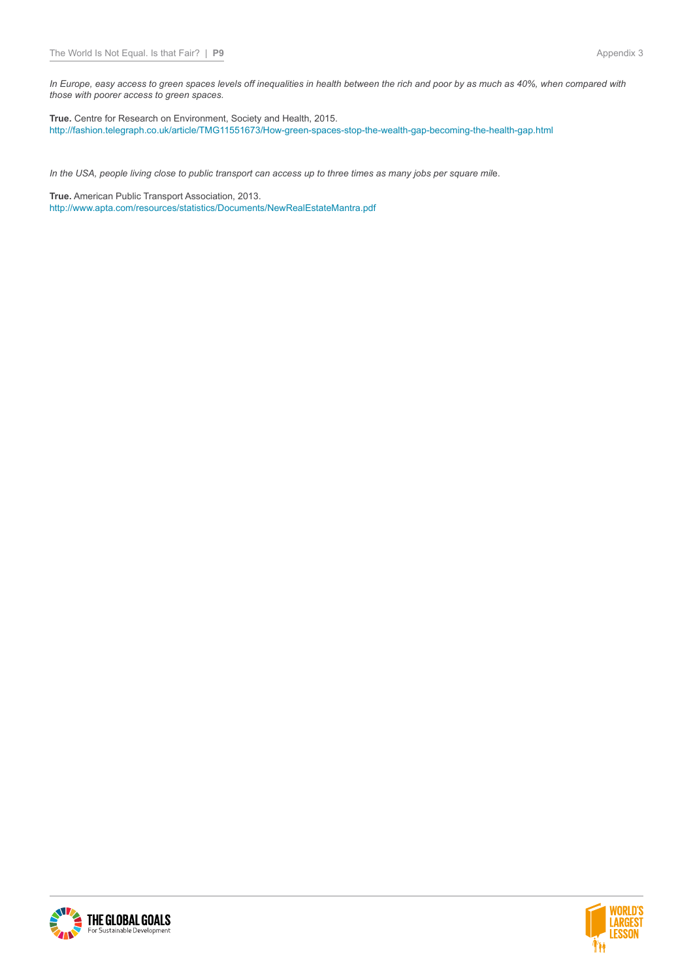*In Europe, easy access to green spaces levels off inequalities in health between the rich and poor by as much as 40%, when compared with those with poorer access to green spaces.* 

**True.** Centre for Research on Environment, Society and Health, 2015. http://fashion.telegraph.co.uk/article/TMG11551673/How-green-spaces-stop-the-wealth-gap-becoming-the-health-gap.html

*In the USA, people living close to public transport can access up to three times as many jobs per square mil*e.

**True.** American Public Transport Association, 2013.

http://www.apta.com/resources/statistics/Documents/NewRealEstateMantra.pdf



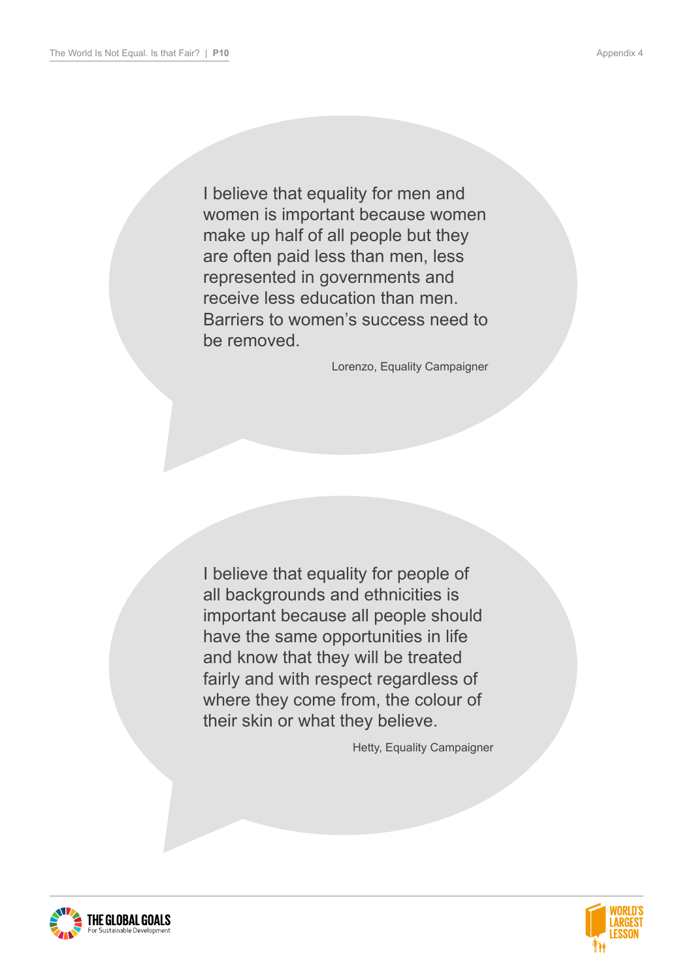I believe that equality for men and women is important because women make up half of all people but they are often paid less than men, less represented in governments and receive less education than men. Barriers to women's success need to be removed.

Lorenzo, Equality Campaigner

I believe that equality for people of all backgrounds and ethnicities is important because all people should have the same opportunities in life and know that they will be treated fairly and with respect regardless of where they come from, the colour of their skin or what they believe.

Hetty, Equality Campaigner



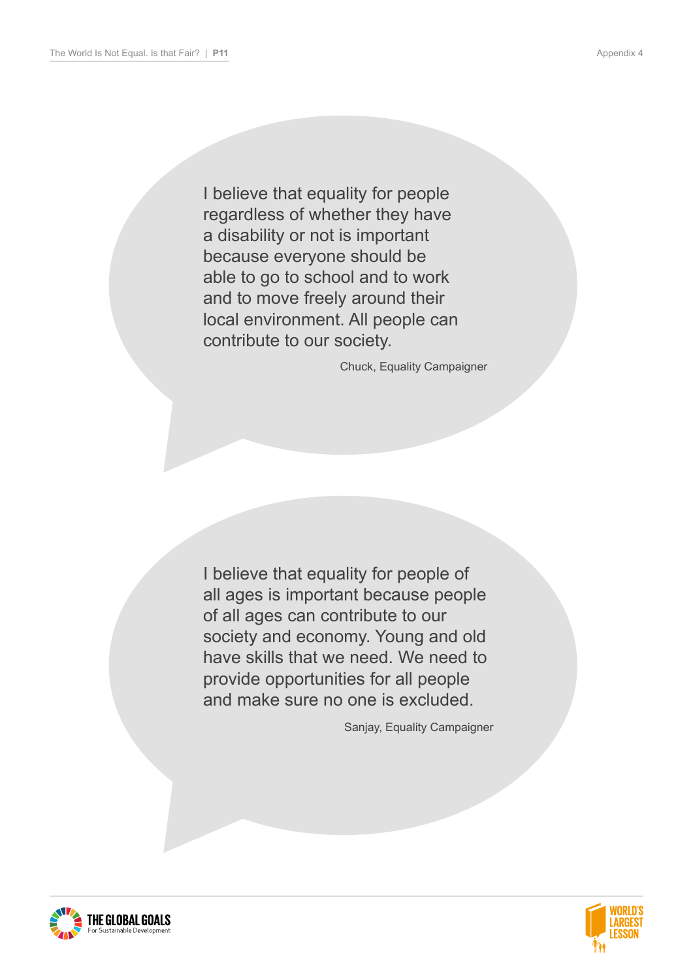I believe that equality for people regardless of whether they have a disability or not is important because everyone should be able to go to school and to work and to move freely around their local environment. All people can contribute to our society.

Chuck, Equality Campaigner

I believe that equality for people of all ages is important because people of all ages can contribute to our society and economy. Young and old have skills that we need. We need to provide opportunities for all people and make sure no one is excluded.

Sanjay, Equality Campaigner



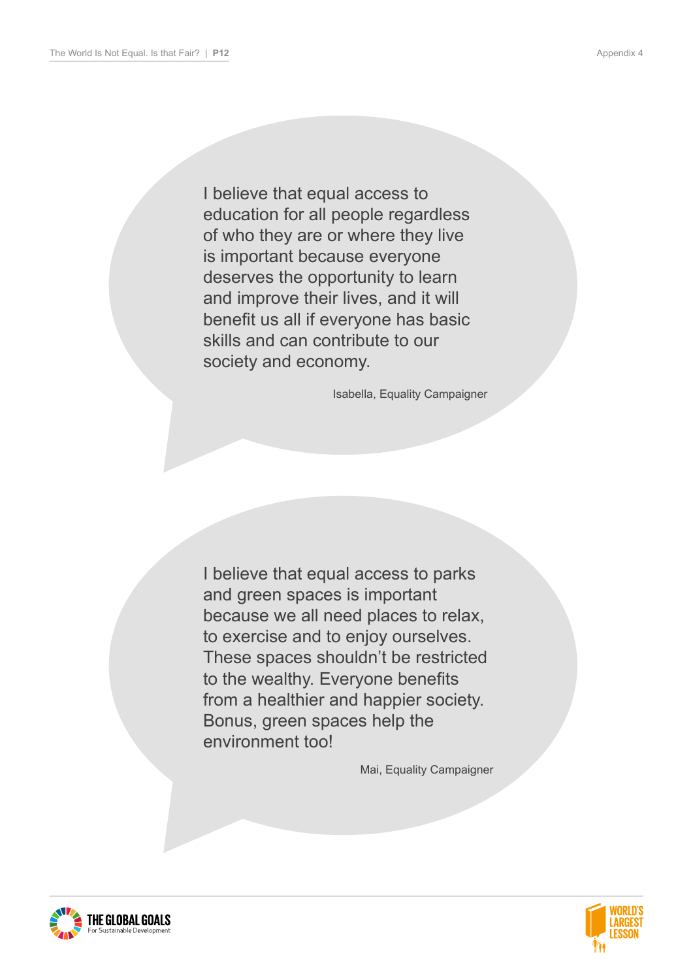I believe that equal access to education for all people regardless of who they are or where they live is important because everyone deserves the opportunity to learn and improve their lives, and it will benefit us all if everyone has basic skills and can contribute to our society and economy.

Isabella, Equality Campaigner

I believe that equal access to parks and green spaces is important because we all need places to relax, to exercise and to enjoy ourselves. These spaces shouldn't be restricted to the wealthy. Everyone benefits from a healthier and happier society. Bonus, green spaces help the environment too!

Mai, Equality Campaigner



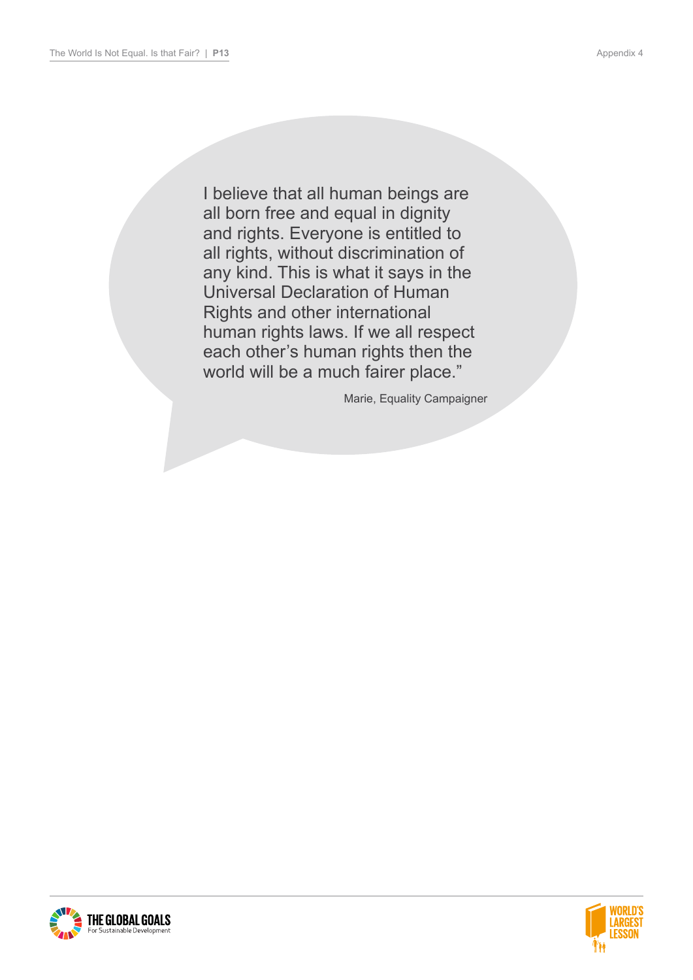I believe that all human beings are all born free and equal in dignity and rights. Everyone is entitled to all rights, without discrimination of any kind. This is what it says in the Universal Declaration of Human Rights and other international human rights laws. If we all respect each other's human rights then the world will be a much fairer place."

Marie, Equality Campaigner



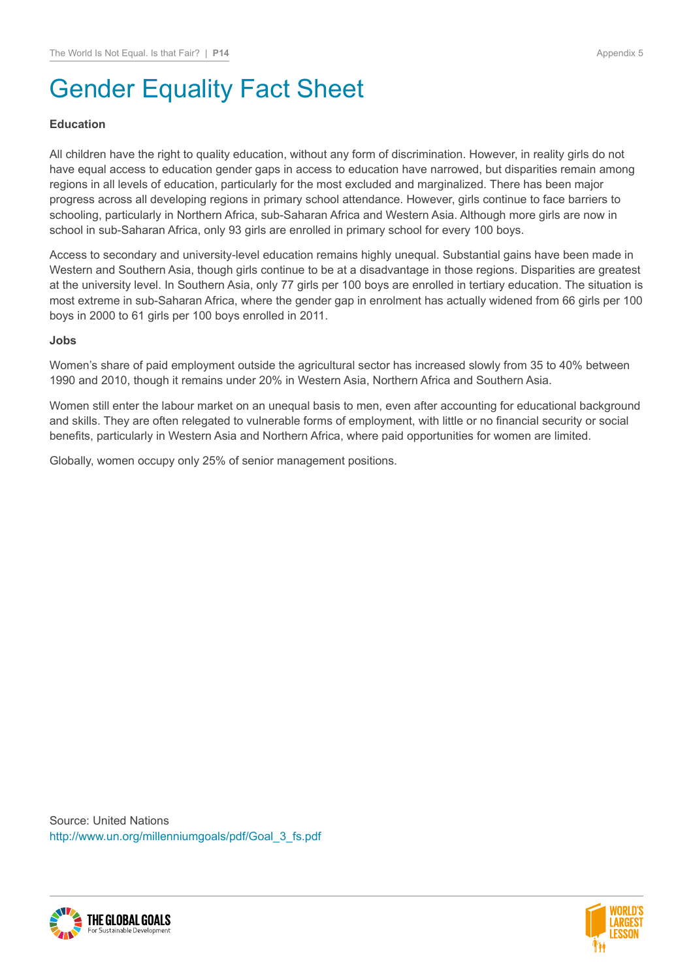# Gender Equality Fact Sheet

#### **Education**

All children have the right to quality education, without any form of discrimination. However, in reality girls do not have equal access to education gender gaps in access to education have narrowed, but disparities remain among regions in all levels of education, particularly for the most excluded and marginalized. There has been major progress across all developing regions in primary school attendance. However, girls continue to face barriers to schooling, particularly in Northern Africa, sub-Saharan Africa and Western Asia. Although more girls are now in school in sub-Saharan Africa, only 93 girls are enrolled in primary school for every 100 boys.

Access to secondary and university-level education remains highly unequal. Substantial gains have been made in Western and Southern Asia, though girls continue to be at a disadvantage in those regions. Disparities are greatest at the university level. In Southern Asia, only 77 girls per 100 boys are enrolled in tertiary education. The situation is most extreme in sub-Saharan Africa, where the gender gap in enrolment has actually widened from 66 girls per 100 boys in 2000 to 61 girls per 100 boys enrolled in 2011.

#### **Jobs**

Women's share of paid employment outside the agricultural sector has increased slowly from 35 to 40% between 1990 and 2010, though it remains under 20% in Western Asia, Northern Africa and Southern Asia.

Women still enter the labour market on an unequal basis to men, even after accounting for educational background and skills. They are often relegated to vulnerable forms of employment, with little or no financial security or social benefits, particularly in Western Asia and Northern Africa, where paid opportunities for women are limited.

Globally, women occupy only 25% of senior management positions.

Source: United Nations http://www.un.org/millenniumgoals/pdf/Goal\_3\_fs.pdf



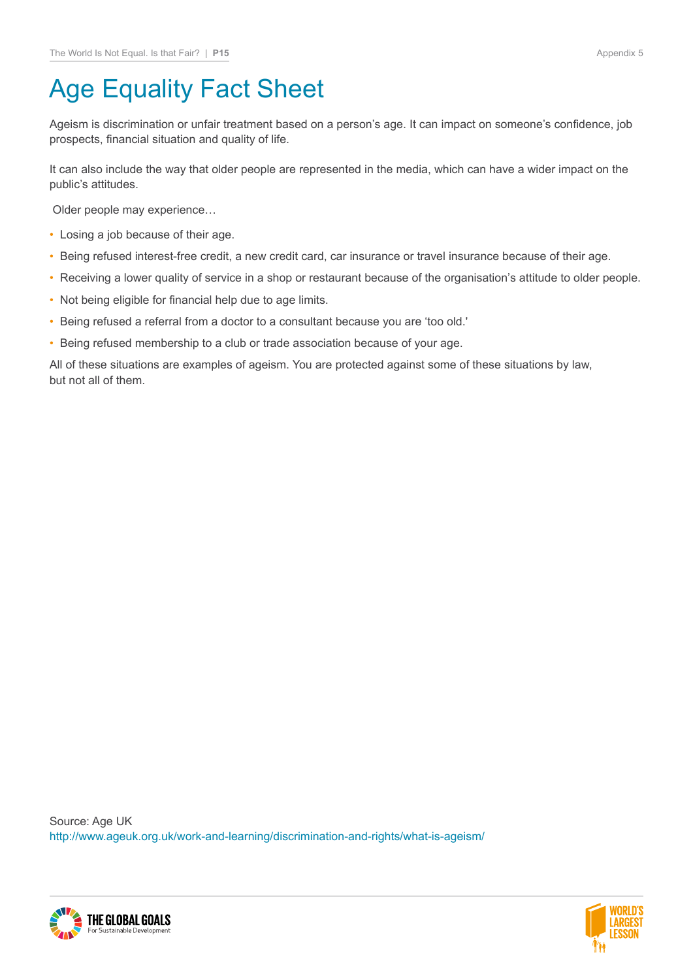# Age Equality Fact Sheet

Ageism is discrimination or unfair treatment based on a person's age. It can impact on someone's confidence, job prospects, financial situation and quality of life.

It can also include the way that older people are represented in the media, which can have a wider impact on the public's attitudes.

Older people may experience…

- Losing a job because of their age.
- Being refused interest-free credit, a new credit card, car insurance or travel insurance because of their age.
- Receiving a lower quality of service in a shop or restaurant because of the organisation's attitude to older people.
- Not being eligible for financial help due to age limits.
- Being refused a referral from a doctor to a consultant because you are 'too old.'
- Being refused membership to a club or trade association because of your age.

All of these situations are examples of ageism. You are protected against some of these situations by law, but not all of them.



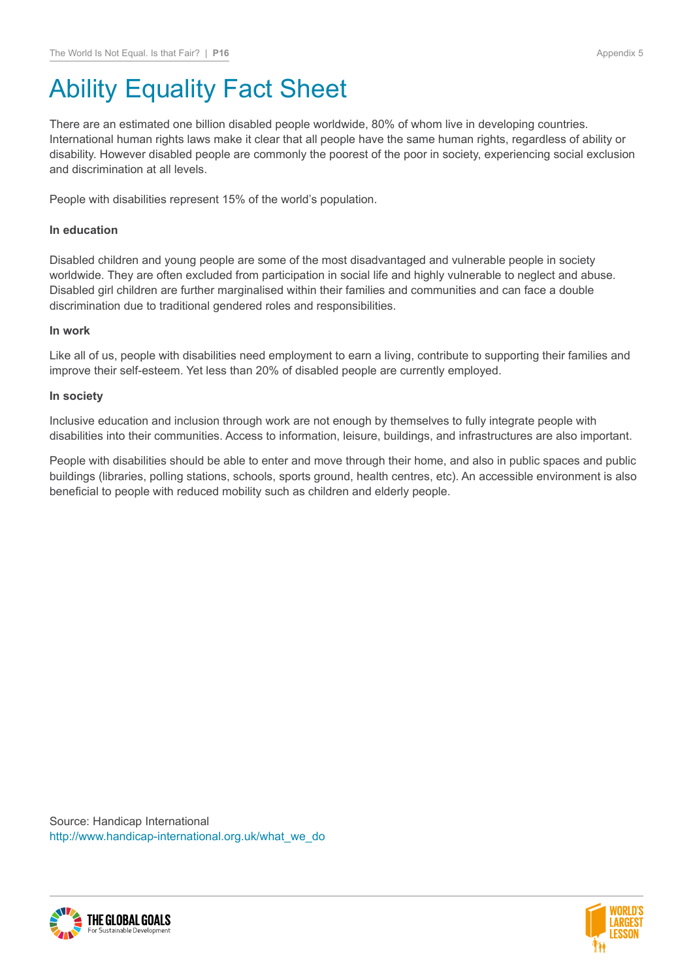# Ability Equality Fact Sheet

There are an estimated one billion disabled people worldwide, 80% of whom live in developing countries. International human rights laws make it clear that all people have the same human rights, regardless of ability or disability. However disabled people are commonly the poorest of the poor in society, experiencing social exclusion and discrimination at all levels.

People with disabilities represent 15% of the world's population.

#### **In education**

Disabled children and young people are some of the most disadvantaged and vulnerable people in society worldwide. They are often excluded from participation in social life and highly vulnerable to neglect and abuse. Disabled girl children are further marginalised within their families and communities and can face a double discrimination due to traditional gendered roles and responsibilities.

#### **In work**

Like all of us, people with disabilities need employment to earn a living, contribute to supporting their families and improve their self-esteem. Yet less than 20% of disabled people are currently employed.

#### **In society**

Inclusive education and inclusion through work are not enough by themselves to fully integrate people with disabilities into their communities. Access to information, leisure, buildings, and infrastructures are also important.

People with disabilities should be able to enter and move through their home, and also in public spaces and public buildings (libraries, polling stations, schools, sports ground, health centres, etc). An accessible environment is also beneficial to people with reduced mobility such as children and elderly people.

Source: Handicap International http://www.handicap-international.org.uk/what\_we\_do



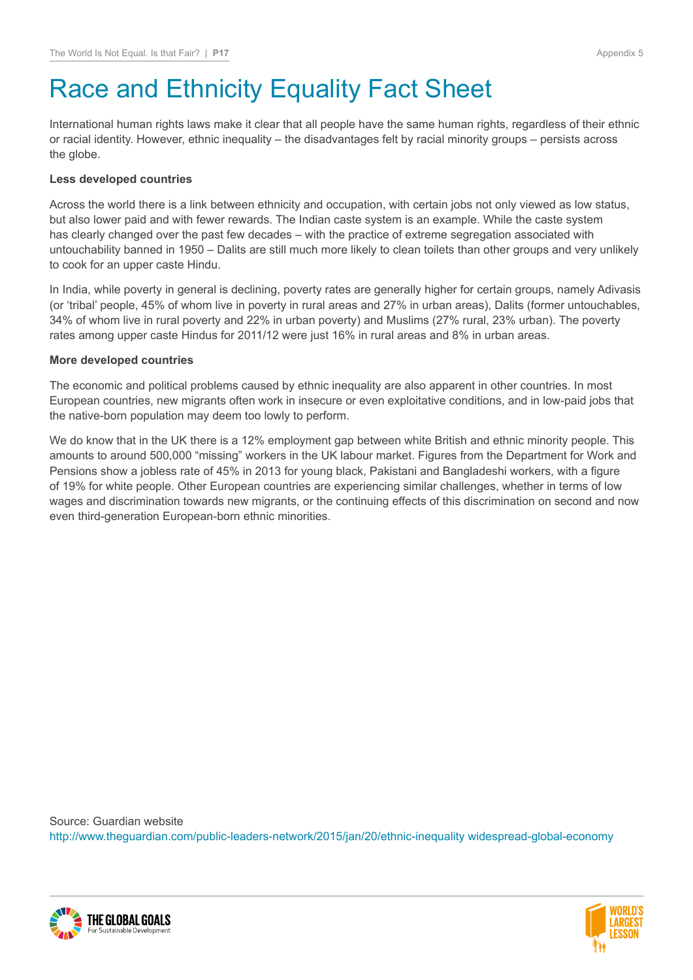# Race and Ethnicity Equality Fact Sheet

International human rights laws make it clear that all people have the same human rights, regardless of their ethnic or racial identity. However, ethnic inequality – the disadvantages felt by racial minority groups – persists across the globe.

#### **Less developed countries**

Across the world there is a link between ethnicity and occupation, with certain jobs not only viewed as low status, but also lower paid and with fewer rewards. The Indian caste system is an example. While the caste system has clearly changed over the past few decades – with the practice of extreme segregation associated with untouchability banned in 1950 – Dalits are still much more likely to clean toilets than other groups and very unlikely to cook for an upper caste Hindu.

In India, while poverty in general is declining, poverty rates are generally higher for certain groups, namely Adivasis (or 'tribal' people, 45% of whom live in poverty in rural areas and 27% in urban areas), Dalits (former untouchables, 34% of whom live in rural poverty and 22% in urban poverty) and Muslims (27% rural, 23% urban). The poverty rates among upper caste Hindus for 2011/12 were just 16% in rural areas and 8% in urban areas.

#### **More developed countries**

The economic and political problems caused by ethnic inequality are also apparent in other countries. In most European countries, new migrants often work in insecure or even exploitative conditions, and in low-paid jobs that the native-born population may deem too lowly to perform.

We do know that in the UK there is a 12% employment gap between white British and ethnic minority people. This amounts to around 500,000 "missing" workers in the UK labour market. Figures from the Department for Work and Pensions show a jobless rate of 45% in 2013 for young black, Pakistani and Bangladeshi workers, with a figure of 19% for white people. Other European countries are experiencing similar challenges, whether in terms of low wages and discrimination towards new migrants, or the continuing effects of this discrimination on second and now even third-generation European-born ethnic minorities.